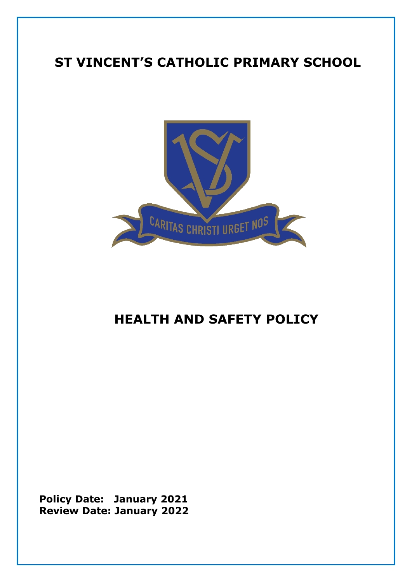# **ST VINCENT'S CATHOLIC PRIMARY SCHOOL**



# **HEALTH AND SAFETY POLICY**

**Policy Date: January 2021 Review Date: January 2022**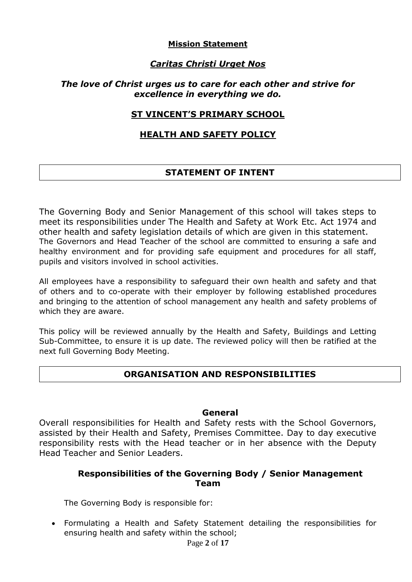#### **Mission Statement**

## *Caritas Christi Urget Nos*

#### *The love of Christ urges us to care for each other and strive for excellence in everything we do.*

#### **ST VINCENT'S PRIMARY SCHOOL**

#### **HEALTH AND SAFETY POLICY**

## **STATEMENT OF INTENT**

The Governing Body and Senior Management of this school will takes steps to meet its responsibilities under The Health and Safety at Work Etc. Act 1974 and other health and safety legislation details of which are given in this statement. The Governors and Head Teacher of the school are committed to ensuring a safe and healthy environment and for providing safe equipment and procedures for all staff, pupils and visitors involved in school activities.

All employees have a responsibility to safeguard their own health and safety and that of others and to co-operate with their employer by following established procedures and bringing to the attention of school management any health and safety problems of which they are aware.

This policy will be reviewed annually by the Health and Safety, Buildings and Letting Sub-Committee, to ensure it is up date. The reviewed policy will then be ratified at the next full Governing Body Meeting.

#### **ORGANISATION AND RESPONSIBILITIES**

#### **General**

Overall responsibilities for Health and Safety rests with the School Governors, assisted by their Health and Safety, Premises Committee. Day to day executive responsibility rests with the Head teacher or in her absence with the Deputy Head Teacher and Senior Leaders.

#### **Responsibilities of the Governing Body / Senior Management Team**

The Governing Body is responsible for:

Page **2** of **17** Formulating a Health and Safety Statement detailing the responsibilities for ensuring health and safety within the school;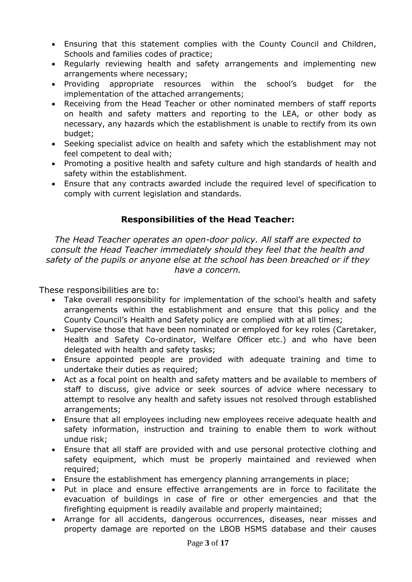- Ensuring that this statement complies with the County Council and Children, Schools and families codes of practice;
- Regularly reviewing health and safety arrangements and implementing new arrangements where necessary;
- Providing appropriate resources within the school's budget for the implementation of the attached arrangements;
- Receiving from the Head Teacher or other nominated members of staff reports on health and safety matters and reporting to the LEA, or other body as necessary, any hazards which the establishment is unable to rectify from its own budget;
- Seeking specialist advice on health and safety which the establishment may not feel competent to deal with;
- Promoting a positive health and safety culture and high standards of health and safety within the establishment.
- Ensure that any contracts awarded include the required level of specification to comply with current legislation and standards.

## **Responsibilities of the Head Teacher:**

*The Head Teacher operates an open-door policy. All staff are expected to consult the Head Teacher immediately should they feel that the health and safety of the pupils or anyone else at the school has been breached or if they have a concern.* 

These responsibilities are to:

- Take overall responsibility for implementation of the school's health and safety arrangements within the establishment and ensure that this policy and the County Council's Health and Safety policy are complied with at all times;
- Supervise those that have been nominated or emploved for key roles (Caretaker, Health and Safety Co-ordinator, Welfare Officer etc.) and who have been delegated with health and safety tasks;
- Ensure appointed people are provided with adequate training and time to undertake their duties as required;
- Act as a focal point on health and safety matters and be available to members of staff to discuss, give advice or seek sources of advice where necessary to attempt to resolve any health and safety issues not resolved through established arrangements;
- Ensure that all employees including new employees receive adequate health and safety information, instruction and training to enable them to work without undue risk;
- Ensure that all staff are provided with and use personal protective clothing and safety equipment, which must be properly maintained and reviewed when required;
- Ensure the establishment has emergency planning arrangements in place;
- Put in place and ensure effective arrangements are in force to facilitate the evacuation of buildings in case of fire or other emergencies and that the firefighting equipment is readily available and properly maintained;
- Arrange for all accidents, dangerous occurrences, diseases, near misses and property damage are reported on the LBOB HSMS database and their causes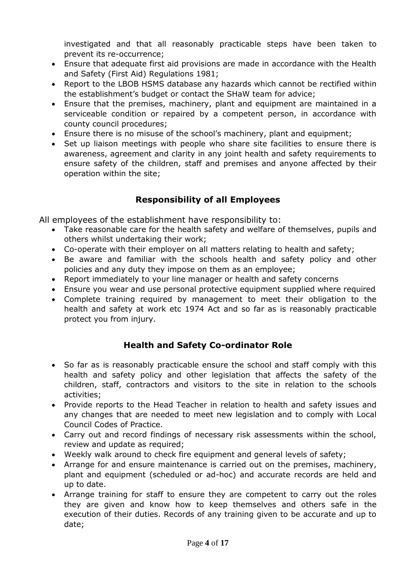investigated and that all reasonably practicable steps have been taken to prevent its re-occurrence;

- Ensure that adequate first aid provisions are made in accordance with the Health and Safety (First Aid) Regulations 1981;
- Report to the LBOB HSMS database any hazards which cannot be rectified within the establishment's budget or contact the SHaW team for advice;
- Ensure that the premises, machinery, plant and equipment are maintained in a serviceable condition or repaired by a competent person, in accordance with county council procedures;
- Ensure there is no misuse of the school's machinery, plant and equipment;
- Set up liaison meetings with people who share site facilities to ensure there is awareness, agreement and clarity in any joint health and safety requirements to ensure safety of the children, staff and premises and anyone affected by their operation within the site;

# **Responsibility of all Employees**

All employees of the establishment have responsibility to:

- Take reasonable care for the health safety and welfare of themselves, pupils and others whilst undertaking their work;
- Co-operate with their employer on all matters relating to health and safety;
- Be aware and familiar with the schools health and safety policy and other policies and any duty they impose on them as an employee;
- Report immediately to your line manager or health and safety concerns
- Ensure you wear and use personal protective equipment supplied where required
- Complete training required by management to meet their obligation to the health and safety at work etc 1974 Act and so far as is reasonably practicable protect you from injury.

## **Health and Safety Co-ordinator Role**

- So far as is reasonably practicable ensure the school and staff comply with this health and safety policy and other legislation that affects the safety of the children, staff, contractors and visitors to the site in relation to the schools activities;
- Provide reports to the Head Teacher in relation to health and safety issues and any changes that are needed to meet new legislation and to comply with Local Council Codes of Practice.
- Carry out and record findings of necessary risk assessments within the school, review and update as required;
- Weekly walk around to check fire equipment and general levels of safety;
- Arrange for and ensure maintenance is carried out on the premises, machinery, plant and equipment (scheduled or ad-hoc) and accurate records are held and up to date.
- Arrange training for staff to ensure they are competent to carry out the roles they are given and know how to keep themselves and others safe in the execution of their duties. Records of any training given to be accurate and up to date;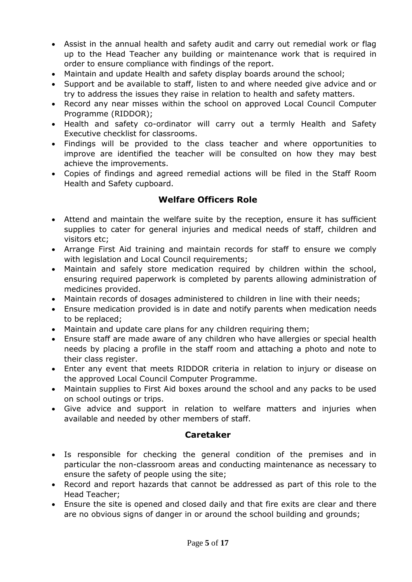- Assist in the annual health and safety audit and carry out remedial work or flag up to the Head Teacher any building or maintenance work that is required in order to ensure compliance with findings of the report.
- Maintain and update Health and safety display boards around the school;
- Support and be available to staff, listen to and where needed give advice and or try to address the issues they raise in relation to health and safety matters.
- Record any near misses within the school on approved Local Council Computer Programme (RIDDOR);
- Health and safety co-ordinator will carry out a termly Health and Safety Executive checklist for classrooms.
- Findings will be provided to the class teacher and where opportunities to improve are identified the teacher will be consulted on how they may best achieve the improvements.
- Copies of findings and agreed remedial actions will be filed in the Staff Room Health and Safety cupboard.

## **Welfare Officers Role**

- Attend and maintain the welfare suite by the reception, ensure it has sufficient supplies to cater for general injuries and medical needs of staff, children and visitors etc;
- Arrange First Aid training and maintain records for staff to ensure we comply with legislation and Local Council requirements;
- Maintain and safely store medication required by children within the school, ensuring required paperwork is completed by parents allowing administration of medicines provided.
- Maintain records of dosages administered to children in line with their needs;
- Ensure medication provided is in date and notify parents when medication needs to be replaced;
- Maintain and update care plans for any children requiring them;
- Ensure staff are made aware of any children who have allergies or special health needs by placing a profile in the staff room and attaching a photo and note to their class register.
- Enter any event that meets RIDDOR criteria in relation to injury or disease on the approved Local Council Computer Programme.
- Maintain supplies to First Aid boxes around the school and any packs to be used on school outings or trips.
- Give advice and support in relation to welfare matters and injuries when available and needed by other members of staff.

#### **Caretaker**

- Is responsible for checking the general condition of the premises and in particular the non-classroom areas and conducting maintenance as necessary to ensure the safety of people using the site;
- Record and report hazards that cannot be addressed as part of this role to the Head Teacher;
- Ensure the site is opened and closed daily and that fire exits are clear and there are no obvious signs of danger in or around the school building and grounds;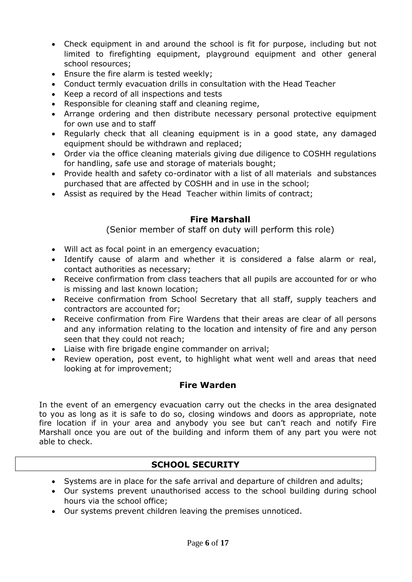- Check equipment in and around the school is fit for purpose, including but not limited to firefighting equipment, playground equipment and other general school resources;
- **Ensure the fire alarm is tested weekly;**
- Conduct termly evacuation drills in consultation with the Head Teacher
- Keep a record of all inspections and tests
- Responsible for cleaning staff and cleaning regime,
- Arrange ordering and then distribute necessary personal protective equipment for own use and to staff
- Regularly check that all cleaning equipment is in a good state, any damaged equipment should be withdrawn and replaced;
- Order via the office cleaning materials giving due diligence to COSHH regulations for handling, safe use and storage of materials bought;
- Provide health and safety co-ordinator with a list of all materials and substances purchased that are affected by COSHH and in use in the school;
- Assist as required by the Head Teacher within limits of contract;

## **Fire Marshall**

(Senior member of staff on duty will perform this role)

- Will act as focal point in an emergency evacuation;
- Identify cause of alarm and whether it is considered a false alarm or real, contact authorities as necessary;
- Receive confirmation from class teachers that all pupils are accounted for or who is missing and last known location;
- Receive confirmation from School Secretary that all staff, supply teachers and contractors are accounted for;
- Receive confirmation from Fire Wardens that their areas are clear of all persons and any information relating to the location and intensity of fire and any person seen that they could not reach;
- Liaise with fire brigade engine commander on arrival;
- Review operation, post event, to highlight what went well and areas that need looking at for improvement;

## **Fire Warden**

In the event of an emergency evacuation carry out the checks in the area designated to you as long as it is safe to do so, closing windows and doors as appropriate, note fire location if in your area and anybody you see but can't reach and notify Fire Marshall once you are out of the building and inform them of any part you were not able to check.

## **SCHOOL SECURITY**

- Systems are in place for the safe arrival and departure of children and adults;
- Our systems prevent unauthorised access to the school building during school hours via the school office;
- Our systems prevent children leaving the premises unnoticed.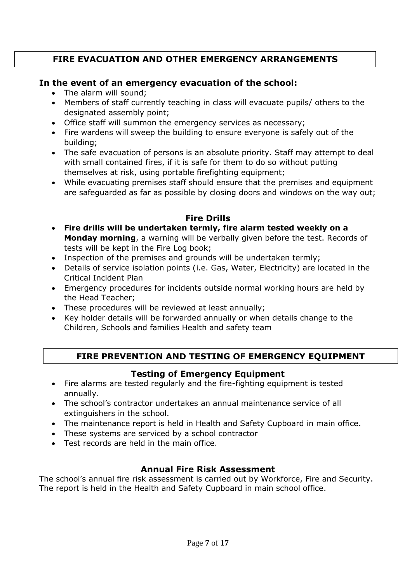# **FIRE EVACUATION AND OTHER EMERGENCY ARRANGEMENTS**

#### **In the event of an emergency evacuation of the school:**

- The alarm will sound:
- Members of staff currently teaching in class will evacuate pupils/ others to the designated assembly point;
- Office staff will summon the emergency services as necessary;
- Fire wardens will sweep the building to ensure everyone is safely out of the building;
- The safe evacuation of persons is an absolute priority. Staff may attempt to deal with small contained fires, if it is safe for them to do so without putting themselves at risk, using portable firefighting equipment;
- While evacuating premises staff should ensure that the premises and equipment are safeguarded as far as possible by closing doors and windows on the way out;

# **Fire Drills**

- **Fire drills will be undertaken termly, fire alarm tested weekly on a Monday morning**, a warning will be verbally given before the test. Records of tests will be kept in the Fire Log book;
- Inspection of the premises and grounds will be undertaken termly;
- Details of service isolation points (i.e. Gas, Water, Electricity) are located in the Critical Incident Plan
- Emergency procedures for incidents outside normal working hours are held by the Head Teacher;
- These procedures will be reviewed at least annually;
- Key holder details will be forwarded annually or when details change to the Children, Schools and families Health and safety team

# **FIRE PREVENTION AND TESTING OF EMERGENCY EQUIPMENT**

## **Testing of Emergency Equipment**

- Fire alarms are tested regularly and the fire-fighting equipment is tested annually.
- The school's contractor undertakes an annual maintenance service of all extinguishers in the school.
- The maintenance report is held in Health and Safety Cupboard in main office.
- These systems are serviced by a school contractor
- Test records are held in the main office.

## **Annual Fire Risk Assessment**

The school's annual fire risk assessment is carried out by Workforce, Fire and Security. The report is held in the Health and Safety Cupboard in main school office.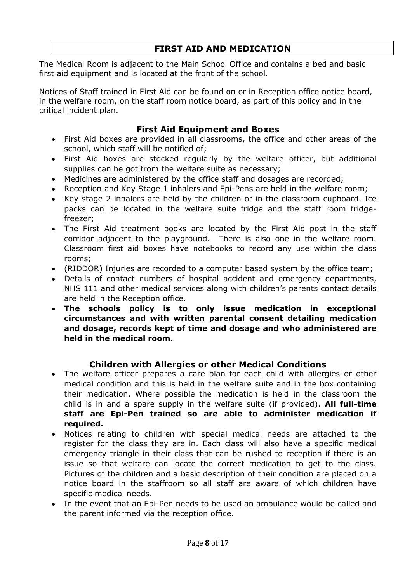# **FIRST AID AND MEDICATION**

The Medical Room is adjacent to the Main School Office and contains a bed and basic first aid equipment and is located at the front of the school.

Notices of Staff trained in First Aid can be found on or in Reception office notice board, in the welfare room, on the staff room notice board, as part of this policy and in the critical incident plan.

## **First Aid Equipment and Boxes**

- First Aid boxes are provided in all classrooms, the office and other areas of the school, which staff will be notified of;
- First Aid boxes are stocked regularly by the welfare officer, but additional supplies can be got from the welfare suite as necessary;
- Medicines are administered by the office staff and dosages are recorded;
- Reception and Key Stage 1 inhalers and Epi-Pens are held in the welfare room;
- Key stage 2 inhalers are held by the children or in the classroom cupboard. Ice packs can be located in the welfare suite fridge and the staff room fridgefreezer;
- The First Aid treatment books are located by the First Aid post in the staff corridor adjacent to the playground. There is also one in the welfare room. Classroom first aid boxes have notebooks to record any use within the class rooms;
- (RIDDOR) Injuries are recorded to a computer based system by the office team;
- Details of contact numbers of hospital accident and emergency departments, NHS 111 and other medical services along with children's parents contact details are held in the Reception office.
- **The schools policy is to only issue medication in exceptional circumstances and with written parental consent detailing medication and dosage, records kept of time and dosage and who administered are held in the medical room.**

#### **Children with Allergies or other Medical Conditions**

- The welfare officer prepares a care plan for each child with allergies or other medical condition and this is held in the welfare suite and in the box containing their medication. Where possible the medication is held in the classroom the child is in and a spare supply in the welfare suite (if provided). **All full-time staff are Epi-Pen trained so are able to administer medication if required.**
- Notices relating to children with special medical needs are attached to the register for the class they are in. Each class will also have a specific medical emergency triangle in their class that can be rushed to reception if there is an issue so that welfare can locate the correct medication to get to the class. Pictures of the children and a basic description of their condition are placed on a notice board in the staffroom so all staff are aware of which children have specific medical needs.
- In the event that an Epi-Pen needs to be used an ambulance would be called and the parent informed via the reception office.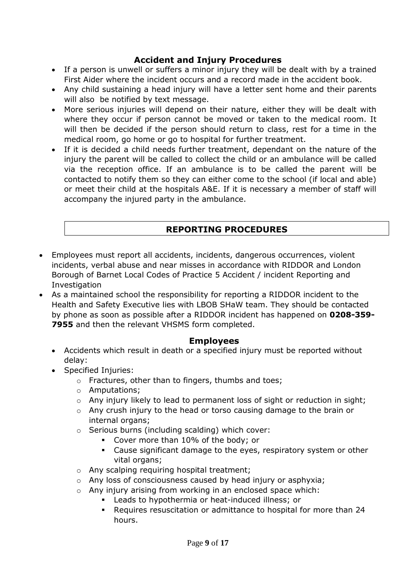# **Accident and Injury Procedures**

- If a person is unwell or suffers a minor injury they will be dealt with by a trained First Aider where the incident occurs and a record made in the accident book.
- Any child sustaining a head injury will have a letter sent home and their parents will also be notified by text message.
- More serious injuries will depend on their nature, either they will be dealt with where they occur if person cannot be moved or taken to the medical room. It will then be decided if the person should return to class, rest for a time in the medical room, go home or go to hospital for further treatment.
- If it is decided a child needs further treatment, dependant on the nature of the injury the parent will be called to collect the child or an ambulance will be called via the reception office. If an ambulance is to be called the parent will be contacted to notify them so they can either come to the school (if local and able) or meet their child at the hospitals A&E. If it is necessary a member of staff will accompany the injured party in the ambulance.

## **REPORTING PROCEDURES**

- Employees must report all accidents, incidents, dangerous occurrences, violent incidents, verbal abuse and near misses in accordance with RIDDOR and London Borough of Barnet Local Codes of Practice 5 Accident / incident Reporting and **Investigation**
- As a maintained school the responsibility for reporting a RIDDOR incident to the Health and Safety Executive lies with LBOB SHaW team. They should be contacted by phone as soon as possible after a RIDDOR incident has happened on **0208-359- 7955** and then the relevant VHSMS form completed.

#### **Employees**

- Accidents which result in death or a specified injury must be reported without delay:
- Specified Injuries:
	- o Fractures, other than to fingers, thumbs and toes;
	- o Amputations;
	- $\circ$  Any injury likely to lead to permanent loss of sight or reduction in sight;
	- o Any crush injury to the head or torso causing damage to the brain or internal organs;
	- o Serious burns (including scalding) which cover:
		- Cover more than 10% of the body; or
		- Cause significant damage to the eyes, respiratory system or other vital organs;
	- o Any scalping requiring hospital treatment;
	- o Any loss of consciousness caused by head injury or asphyxia;
	- o Any injury arising from working in an enclosed space which:
		- Leads to hypothermia or heat-induced illness; or
		- Requires resuscitation or admittance to hospital for more than 24 hours.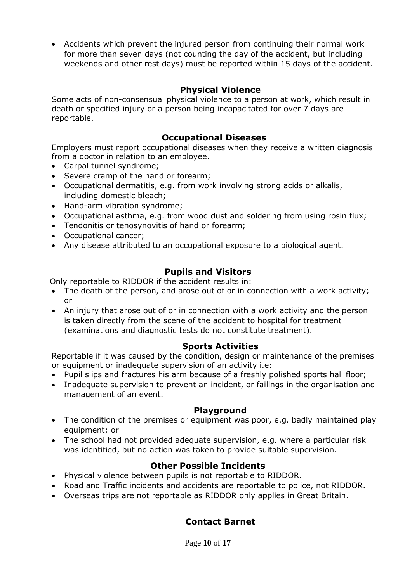Accidents which prevent the injured person from continuing their normal work for more than seven days (not counting the day of the accident, but including weekends and other rest days) must be reported within 15 days of the accident.

## **Physical Violence**

Some acts of non-consensual physical violence to a person at work, which result in death or specified injury or a person being incapacitated for over 7 days are reportable.

## **Occupational Diseases**

Employers must report occupational diseases when they receive a written diagnosis from a doctor in relation to an employee.

- Carpal tunnel syndrome;
- Severe cramp of the hand or forearm;
- Occupational dermatitis, e.g. from work involving strong acids or alkalis, including domestic bleach;
- Hand-arm vibration syndrome:
- Occupational asthma, e.g. from wood dust and soldering from using rosin flux;
- Tendonitis or tenosynovitis of hand or forearm;
- Occupational cancer;
- Any disease attributed to an occupational exposure to a biological agent.

## **Pupils and Visitors**

Only reportable to RIDDOR if the accident results in:

- The death of the person, and arose out of or in connection with a work activity; or
- An injury that arose out of or in connection with a work activity and the person is taken directly from the scene of the accident to hospital for treatment (examinations and diagnostic tests do not constitute treatment).

#### **Sports Activities**

Reportable if it was caused by the condition, design or maintenance of the premises or equipment or inadequate supervision of an activity i.e:

- Pupil slips and fractures his arm because of a freshly polished sports hall floor;
- Inadequate supervision to prevent an incident, or failings in the organisation and management of an event.

#### **Playground**

- The condition of the premises or equipment was poor, e.g. badly maintained play equipment; or
- The school had not provided adequate supervision, e.g. where a particular risk was identified, but no action was taken to provide suitable supervision.

## **Other Possible Incidents**

- Physical violence between pupils is not reportable to RIDDOR.
- Road and Traffic incidents and accidents are reportable to police, not RIDDOR.
- Overseas trips are not reportable as RIDDOR only applies in Great Britain.

## **Contact Barnet**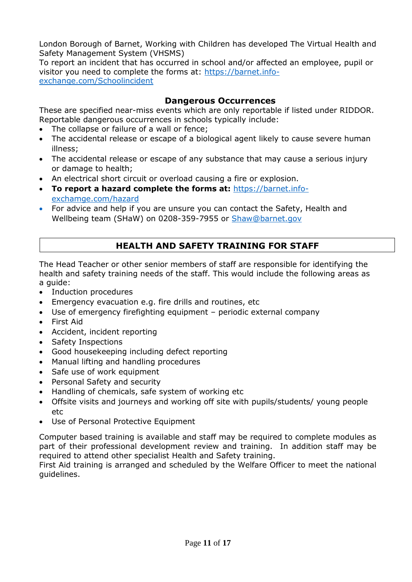London Borough of Barnet, Working with Children has developed The Virtual Health and Safety Management System (VHSMS)

To report an incident that has occurred in school and/or affected an employee, pupil or visitor you need to complete the forms at: [https://barnet.info](https://barnet.info-exchange.com/Schoolincident)[exchange.com/Schoolincident](https://barnet.info-exchange.com/Schoolincident)

#### **Dangerous Occurrences**

These are specified near-miss events which are only reportable if listed under RIDDOR. Reportable dangerous occurrences in schools typically include:

- The collapse or failure of a wall or fence;
- The accidental release or escape of a biological agent likely to cause severe human illness;
- The accidental release or escape of any substance that may cause a serious injury or damage to health;
- An electrical short circuit or overload causing a fire or explosion.
- **To report a hazard complete the forms at:** [https://barnet.info](https://barnet.info-exchamge.com/hazard)[exchamge.com/hazard](https://barnet.info-exchamge.com/hazard)
- For advice and help if you are unsure you can contact the Safety, Health and Wellbeing team (SHaW) on 0208-359-7955 or [Shaw@barnet.gov](mailto:Shaw@barnet.gov)

# **HEALTH AND SAFETY TRAINING FOR STAFF**

The Head Teacher or other senior members of staff are responsible for identifying the health and safety training needs of the staff. This would include the following areas as a guide:

- Induction procedures
- Emergency evacuation e.g. fire drills and routines, etc
- Use of emergency firefighting equipment periodic external company
- First Aid
- Accident, incident reporting
- Safety Inspections
- Good housekeeping including defect reporting
- Manual lifting and handling procedures
- Safe use of work equipment
- Personal Safety and security
- Handling of chemicals, safe system of working etc
- Offsite visits and journeys and working off site with pupils/students/ young people etc
- Use of Personal Protective Equipment

Computer based training is available and staff may be required to complete modules as part of their professional development review and training. In addition staff may be required to attend other specialist Health and Safety training.

First Aid training is arranged and scheduled by the Welfare Officer to meet the national guidelines.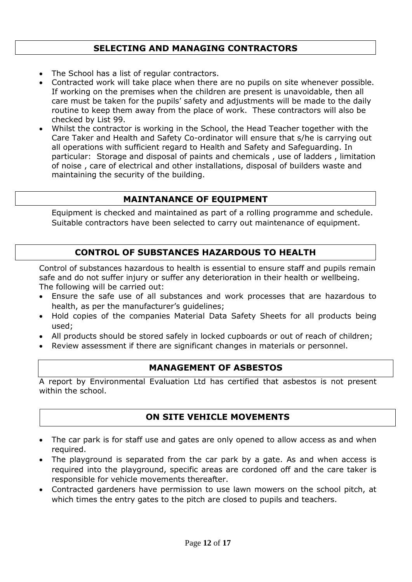# **SELECTING AND MANAGING CONTRACTORS**

- The School has a list of regular contractors.
- Contracted work will take place when there are no pupils on site whenever possible. If working on the premises when the children are present is unavoidable, then all care must be taken for the pupils' safety and adjustments will be made to the daily routine to keep them away from the place of work. These contractors will also be checked by List 99.
- Whilst the contractor is working in the School, the Head Teacher together with the Care Taker and Health and Safety Co-ordinator will ensure that s/he is carrying out all operations with sufficient regard to Health and Safety and Safeguarding. In particular: Storage and disposal of paints and chemicals , use of ladders , limitation of noise , care of electrical and other installations, disposal of builders waste and maintaining the security of the building.

#### **MAINTANANCE OF EQUIPMENT**

Equipment is checked and maintained as part of a rolling programme and schedule. Suitable contractors have been selected to carry out maintenance of equipment.

## **CONTROL OF SUBSTANCES HAZARDOUS TO HEALTH**

Control of substances hazardous to health is essential to ensure staff and pupils remain safe and do not suffer injury or suffer any deterioration in their health or wellbeing. The following will be carried out:

- Ensure the safe use of all substances and work processes that are hazardous to health, as per the manufacturer's guidelines;
- Hold copies of the companies Material Data Safety Sheets for all products being used;
- All products should be stored safely in locked cupboards or out of reach of children;
- Review assessment if there are significant changes in materials or personnel.

#### **MANAGEMENT OF ASBESTOS**

A report by Environmental Evaluation Ltd has certified that asbestos is not present within the school.

#### **ON SITE VEHICLE MOVEMENTS**

- The car park is for staff use and gates are only opened to allow access as and when required.
- The playground is separated from the car park by a gate. As and when access is required into the playground, specific areas are cordoned off and the care taker is responsible for vehicle movements thereafter.
- Contracted gardeners have permission to use lawn mowers on the school pitch, at which times the entry gates to the pitch are closed to pupils and teachers.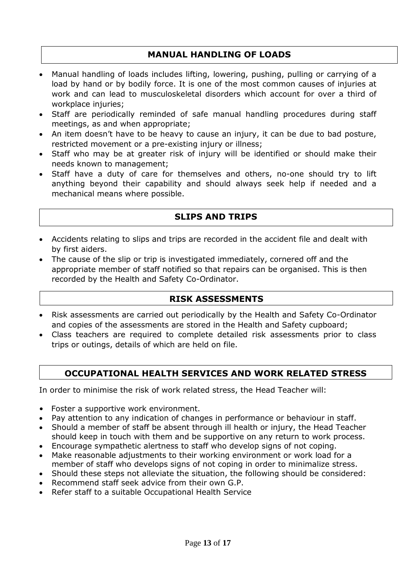## **MANUAL HANDLING OF LOADS**

- Manual handling of loads includes lifting, lowering, pushing, pulling or carrying of a load by hand or by bodily force. It is one of the most common causes of injuries at work and can lead to musculoskeletal disorders which account for over a third of workplace injuries:
- Staff are periodically reminded of safe manual handling procedures during staff meetings, as and when appropriate;
- An item doesn't have to be heavy to cause an injury, it can be due to bad posture, restricted movement or a pre-existing injury or illness;
- Staff who may be at greater risk of injury will be identified or should make their needs known to management;
- Staff have a duty of care for themselves and others, no-one should try to lift anything beyond their capability and should always seek help if needed and a mechanical means where possible.

## **SLIPS AND TRIPS**

- Accidents relating to slips and trips are recorded in the accident file and dealt with by first aiders.
- The cause of the slip or trip is investigated immediately, cornered off and the appropriate member of staff notified so that repairs can be organised. This is then recorded by the Health and Safety Co-Ordinator.

#### **RISK ASSESSMENTS**

- Risk assessments are carried out periodically by the Health and Safety Co-Ordinator and copies of the assessments are stored in the Health and Safety cupboard;
- Class teachers are required to complete detailed risk assessments prior to class trips or outings, details of which are held on file.

## **OCCUPATIONAL HEALTH SERVICES AND WORK RELATED STRESS**

In order to minimise the risk of work related stress, the Head Teacher will:

- Foster a supportive work environment.
- Pay attention to any indication of changes in performance or behaviour in staff.
- Should a member of staff be absent through ill health or injury, the Head Teacher should keep in touch with them and be supportive on any return to work process.
- Encourage sympathetic alertness to staff who develop signs of not coping.
- Make reasonable adjustments to their working environment or work load for a
- member of staff who develops signs of not coping in order to minimalize stress. Should these steps not alleviate the situation, the following should be considered:
- Recommend staff seek advice from their own G.P.
- Refer staff to a suitable Occupational Health Service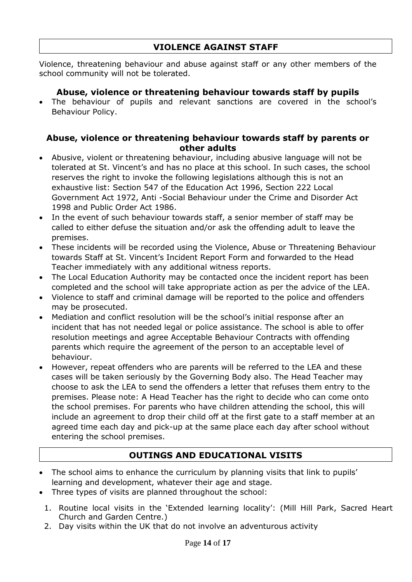## **VIOLENCE AGAINST STAFF**

Violence, threatening behaviour and abuse against staff or any other members of the school community will not be tolerated.

## **Abuse, violence or threatening behaviour towards staff by pupils**

 The behaviour of pupils and relevant sanctions are covered in the school's Behaviour Policy.

#### **Abuse, violence or threatening behaviour towards staff by parents or other adults**

- Abusive, violent or threatening behaviour, including abusive language will not be tolerated at St. Vincent's and has no place at this school. In such cases, the school reserves the right to invoke the following legislations although this is not an exhaustive list: Section 547 of the Education Act 1996, Section 222 Local Government Act 1972, Anti -Social Behaviour under the Crime and Disorder Act 1998 and Public Order Act 1986.
- In the event of such behaviour towards staff, a senior member of staff may be called to either defuse the situation and/or ask the offending adult to leave the premises.
- These incidents will be recorded using the Violence, Abuse or Threatening Behaviour towards Staff at St. Vincent's Incident Report Form and forwarded to the Head Teacher immediately with any additional witness reports.
- The Local Education Authority may be contacted once the incident report has been completed and the school will take appropriate action as per the advice of the LEA.
- Violence to staff and criminal damage will be reported to the police and offenders may be prosecuted.
- Mediation and conflict resolution will be the school's initial response after an incident that has not needed legal or police assistance. The school is able to offer resolution meetings and agree Acceptable Behaviour Contracts with offending parents which require the agreement of the person to an acceptable level of behaviour.
- However, repeat offenders who are parents will be referred to the LEA and these cases will be taken seriously by the Governing Body also. The Head Teacher may choose to ask the LEA to send the offenders a letter that refuses them entry to the premises. Please note: A Head Teacher has the right to decide who can come onto the school premises. For parents who have children attending the school, this will include an agreement to drop their child off at the first gate to a staff member at an agreed time each day and pick-up at the same place each day after school without entering the school premises.

# **OUTINGS AND EDUCATIONAL VISITS**

- The school aims to enhance the curriculum by planning visits that link to pupils' learning and development, whatever their age and stage.
- Three types of visits are planned throughout the school:
	- 1. Routine local visits in the 'Extended learning locality': (Mill Hill Park, Sacred Heart Church and Garden Centre.)
	- 2. Day visits within the UK that do not involve an adventurous activity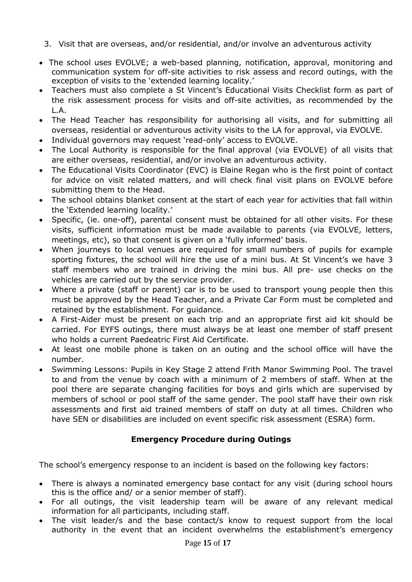- 3. Visit that are overseas, and/or residential, and/or involve an adventurous activity
- The school uses EVOLVE; a web-based planning, notification, approval, monitoring and communication system for off-site activities to risk assess and record outings, with the exception of visits to the 'extended learning locality.'
- Teachers must also complete a St Vincent's Educational Visits Checklist form as part of the risk assessment process for visits and off-site activities, as recommended by the L.A.
- The Head Teacher has responsibility for authorising all visits, and for submitting all overseas, residential or adventurous activity visits to the LA for approval, via EVOLVE.
- Individual governors may request 'read-only' access to EVOLVE.
- The Local Authority is responsible for the final approval (via EVOLVE) of all visits that are either overseas, residential, and/or involve an adventurous activity.
- The Educational Visits Coordinator (EVC) is Elaine Regan who is the first point of contact for advice on visit related matters, and will check final visit plans on EVOLVE before submitting them to the Head.
- The school obtains blanket consent at the start of each year for activities that fall within the 'Extended learning locality.'
- Specific, (ie. one-off), parental consent must be obtained for all other visits. For these visits, sufficient information must be made available to parents (via EVOLVE, letters, meetings, etc), so that consent is given on a 'fully informed' basis.
- When journeys to local venues are required for small numbers of pupils for example sporting fixtures, the school will hire the use of a mini bus. At St Vincent's we have 3 staff members who are trained in driving the mini bus. All pre- use checks on the vehicles are carried out by the service provider.
- Where a private (staff or parent) car is to be used to transport young people then this must be approved by the Head Teacher, and a Private Car Form must be completed and retained by the establishment. For guidance.
- A First-Aider must be present on each trip and an appropriate first aid kit should be carried. For EYFS outings, there must always be at least one member of staff present who holds a current Paedeatric First Aid Certificate.
- At least one mobile phone is taken on an outing and the school office will have the number.
- Swimming Lessons: Pupils in Key Stage 2 attend Frith Manor Swimming Pool. The travel to and from the venue by coach with a minimum of 2 members of staff. When at the pool there are separate changing facilities for boys and girls which are supervised by members of school or pool staff of the same gender. The pool staff have their own risk assessments and first aid trained members of staff on duty at all times. Children who have SEN or disabilities are included on event specific risk assessment (ESRA) form.

## **Emergency Procedure during Outings**

The school's emergency response to an incident is based on the following key factors:

- There is always a nominated emergency base contact for any visit (during school hours this is the office and/ or a senior member of staff).
- For all outings, the visit leadership team will be aware of any relevant medical information for all participants, including staff.
- The visit leader/s and the base contact/s know to request support from the local authority in the event that an incident overwhelms the establishment's emergency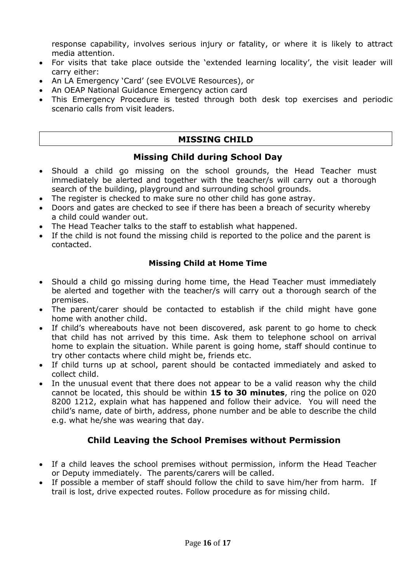response capability, involves serious injury or fatality, or where it is likely to attract media attention.

- For visits that take place outside the 'extended learning locality', the visit leader will carry either:
- An LA Emergency 'Card' (see EVOLVE Resources), or
- An OEAP National Guidance Emergency action card
- This Emergency Procedure is tested through both desk top exercises and periodic scenario calls from visit leaders.

#### **MISSING CHILD**

#### **Missing Child during School Day**

- Should a child go missing on the school grounds, the Head Teacher must immediately be alerted and together with the teacher/s will carry out a thorough search of the building, playground and surrounding school grounds.
- The register is checked to make sure no other child has gone astray.
- Doors and gates are checked to see if there has been a breach of security whereby a child could wander out.
- The Head Teacher talks to the staff to establish what happened.
- If the child is not found the missing child is reported to the police and the parent is contacted.

#### **Missing Child at Home Time**

- Should a child go missing during home time, the Head Teacher must immediately be alerted and together with the teacher/s will carry out a thorough search of the premises.
- The parent/carer should be contacted to establish if the child might have gone home with another child.
- If child's whereabouts have not been discovered, ask parent to go home to check that child has not arrived by this time. Ask them to telephone school on arrival home to explain the situation. While parent is going home, staff should continue to try other contacts where child might be, friends etc.
- If child turns up at school, parent should be contacted immediately and asked to collect child.
- In the unusual event that there does not appear to be a valid reason why the child cannot be located, this should be within **15 to 30 minutes**, ring the police on 020 8200 1212, explain what has happened and follow their advice. You will need the child's name, date of birth, address, phone number and be able to describe the child e.g. what he/she was wearing that day.

## **Child Leaving the School Premises without Permission**

- If a child leaves the school premises without permission, inform the Head Teacher or Deputy immediately. The parents/carers will be called.
- If possible a member of staff should follow the child to save him/her from harm. If trail is lost, drive expected routes. Follow procedure as for missing child.